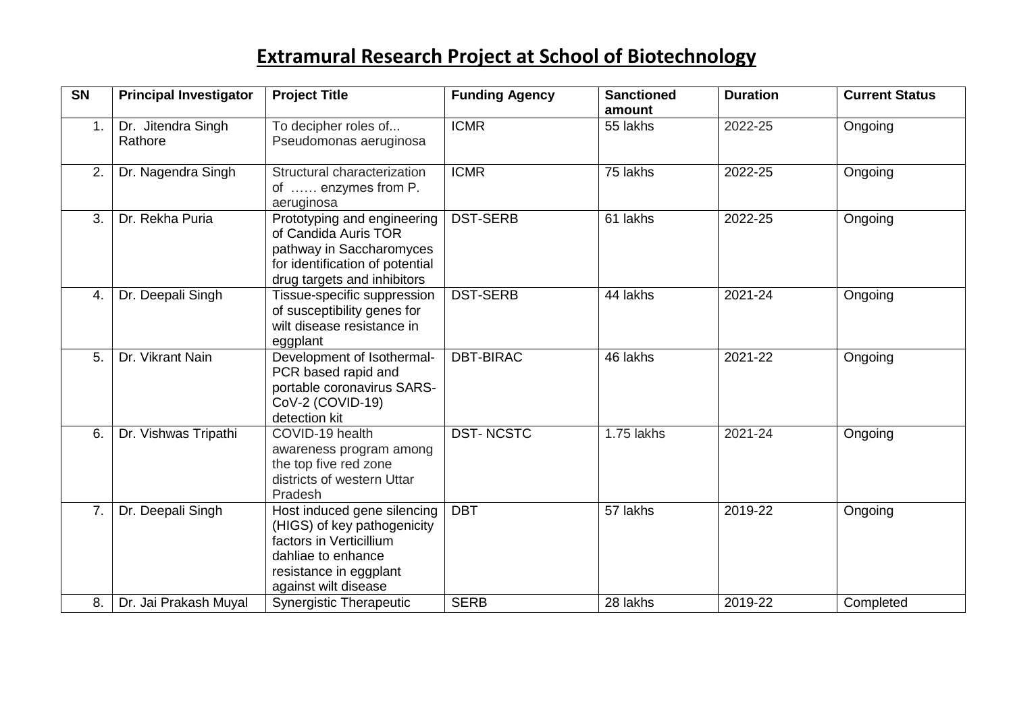| $\overline{\text{SN}}$ | <b>Principal Investigator</b> | <b>Project Title</b>                                                                                                                                          | <b>Funding Agency</b> | <b>Sanctioned</b><br>amount | <b>Duration</b> | <b>Current Status</b> |
|------------------------|-------------------------------|---------------------------------------------------------------------------------------------------------------------------------------------------------------|-----------------------|-----------------------------|-----------------|-----------------------|
| 1.                     | Dr. Jitendra Singh<br>Rathore | To decipher roles of<br>Pseudomonas aeruginosa                                                                                                                | <b>ICMR</b>           | 55 lakhs                    | 2022-25         | Ongoing               |
| 2.                     | Dr. Nagendra Singh            | Structural characterization<br>of  enzymes from P.<br>aeruginosa                                                                                              | <b>ICMR</b>           | 75 lakhs                    | 2022-25         | Ongoing               |
| 3.                     | Dr. Rekha Puria               | Prototyping and engineering<br>of Candida Auris TOR<br>pathway in Saccharomyces<br>for identification of potential<br>drug targets and inhibitors             | <b>DST-SERB</b>       | 61 lakhs                    | 2022-25         | Ongoing               |
| $\overline{4}$ .       | Dr. Deepali Singh             | Tissue-specific suppression<br>of susceptibility genes for<br>wilt disease resistance in<br>eggplant                                                          | <b>DST-SERB</b>       | 44 lakhs                    | 2021-24         | Ongoing               |
| 5.                     | Dr. Vikrant Nain              | Development of Isothermal-<br>PCR based rapid and<br>portable coronavirus SARS-<br>CoV-2 (COVID-19)<br>detection kit                                          | <b>DBT-BIRAC</b>      | 46 lakhs                    | 2021-22         | Ongoing               |
| 6.                     | Dr. Vishwas Tripathi          | COVID-19 health<br>awareness program among<br>the top five red zone<br>districts of western Uttar<br>Pradesh                                                  | <b>DST-NCSTC</b>      | 1.75 lakhs                  | 2021-24         | Ongoing               |
| 7.                     | Dr. Deepali Singh             | Host induced gene silencing<br>(HIGS) of key pathogenicity<br>factors in Verticillium<br>dahliae to enhance<br>resistance in eggplant<br>against wilt disease | <b>DBT</b>            | 57 lakhs                    | 2019-22         | Ongoing               |
| 8.                     | Dr. Jai Prakash Muyal         | <b>Synergistic Therapeutic</b>                                                                                                                                | <b>SERB</b>           | 28 lakhs                    | 2019-22         | Completed             |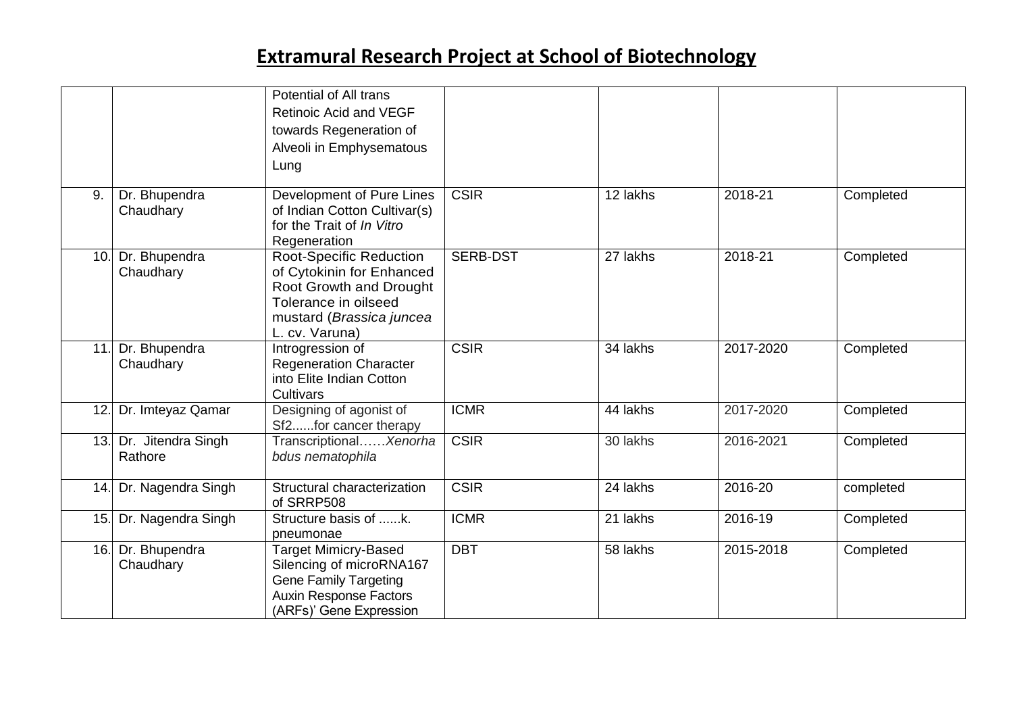|     |                                   | Potential of All trans<br><b>Retinoic Acid and VEGF</b><br>towards Regeneration of<br>Alveoli in Emphysematous<br>Lung                                       |                 |          |           |           |
|-----|-----------------------------------|--------------------------------------------------------------------------------------------------------------------------------------------------------------|-----------------|----------|-----------|-----------|
| 9.  | Dr. Bhupendra<br>Chaudhary        | Development of Pure Lines<br>of Indian Cotton Cultivar(s)<br>for the Trait of In Vitro<br>Regeneration                                                       | <b>CSIR</b>     | 12 lakhs | 2018-21   | Completed |
| 10. | Dr. Bhupendra<br>Chaudhary        | <b>Root-Specific Reduction</b><br>of Cytokinin for Enhanced<br>Root Growth and Drought<br>Tolerance in oilseed<br>mustard (Brassica juncea<br>L. cv. Varuna) | <b>SERB-DST</b> | 27 lakhs | 2018-21   | Completed |
| 11. | Dr. Bhupendra<br>Chaudhary        | Introgression of<br><b>Regeneration Character</b><br>into Elite Indian Cotton<br>Cultivars                                                                   | <b>CSIR</b>     | 34 lakhs | 2017-2020 | Completed |
| 12. | Dr. Imteyaz Qamar                 | Designing of agonist of<br>Sf2for cancer therapy                                                                                                             | <b>ICMR</b>     | 44 lakhs | 2017-2020 | Completed |
|     | 13. Dr. Jitendra Singh<br>Rathore | TranscriptionalXenorha<br>bdus nematophila                                                                                                                   | <b>CSIR</b>     | 30 lakhs | 2016-2021 | Completed |
|     | 14. Dr. Nagendra Singh            | Structural characterization<br>of SRRP508                                                                                                                    | <b>CSIR</b>     | 24 lakhs | 2016-20   | completed |
| 15. | Dr. Nagendra Singh                | Structure basis of k.<br>pneumonae                                                                                                                           | <b>ICMR</b>     | 21 lakhs | 2016-19   | Completed |
| 16. | Dr. Bhupendra<br>Chaudhary        | <b>Target Mimicry-Based</b><br>Silencing of microRNA167<br><b>Gene Family Targeting</b><br><b>Auxin Response Factors</b><br>(ARFs)' Gene Expression          | <b>DBT</b>      | 58 lakhs | 2015-2018 | Completed |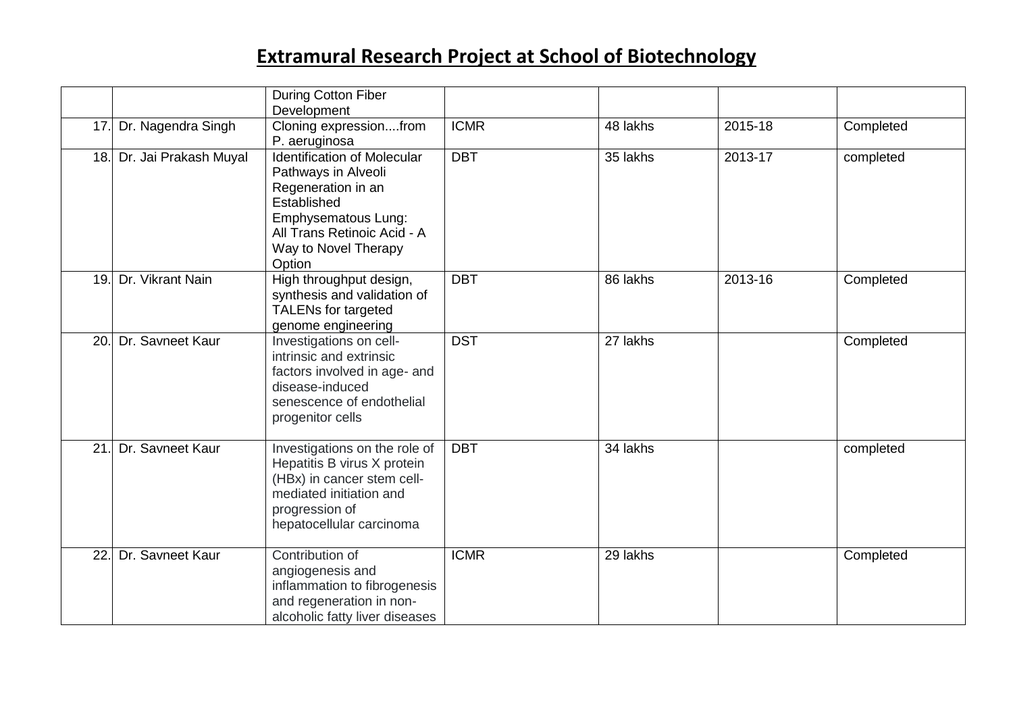|                 |                       | <b>During Cotton Fiber</b><br>Development                                                                                                                                              |             |          |         |           |
|-----------------|-----------------------|----------------------------------------------------------------------------------------------------------------------------------------------------------------------------------------|-------------|----------|---------|-----------|
| 17 <sub>1</sub> | Dr. Nagendra Singh    | Cloning expressionfrom<br>P. aeruginosa                                                                                                                                                | <b>ICMR</b> | 48 lakhs | 2015-18 | Completed |
| 18.             | Dr. Jai Prakash Muyal | <b>Identification of Molecular</b><br>Pathways in Alveoli<br>Regeneration in an<br>Established<br>Emphysematous Lung:<br>All Trans Retinoic Acid - A<br>Way to Novel Therapy<br>Option | <b>DBT</b>  | 35 lakhs | 2013-17 | completed |
| 19.             | Dr. Vikrant Nain      | High throughput design,<br>synthesis and validation of<br><b>TALENs for targeted</b><br>genome engineering                                                                             | <b>DBT</b>  | 86 lakhs | 2013-16 | Completed |
| 20.             | Dr. Savneet Kaur      | Investigations on cell-<br>intrinsic and extrinsic<br>factors involved in age- and<br>disease-induced<br>senescence of endothelial<br>progenitor cells                                 | <b>DST</b>  | 27 lakhs |         | Completed |
| 21              | Dr. Savneet Kaur      | Investigations on the role of<br>Hepatitis B virus X protein<br>(HBx) in cancer stem cell-<br>mediated initiation and<br>progression of<br>hepatocellular carcinoma                    | <b>DBT</b>  | 34 lakhs |         | completed |
| 22              | Dr. Savneet Kaur      | Contribution of<br>angiogenesis and<br>inflammation to fibrogenesis<br>and regeneration in non-<br>alcoholic fatty liver diseases                                                      | <b>ICMR</b> | 29 lakhs |         | Completed |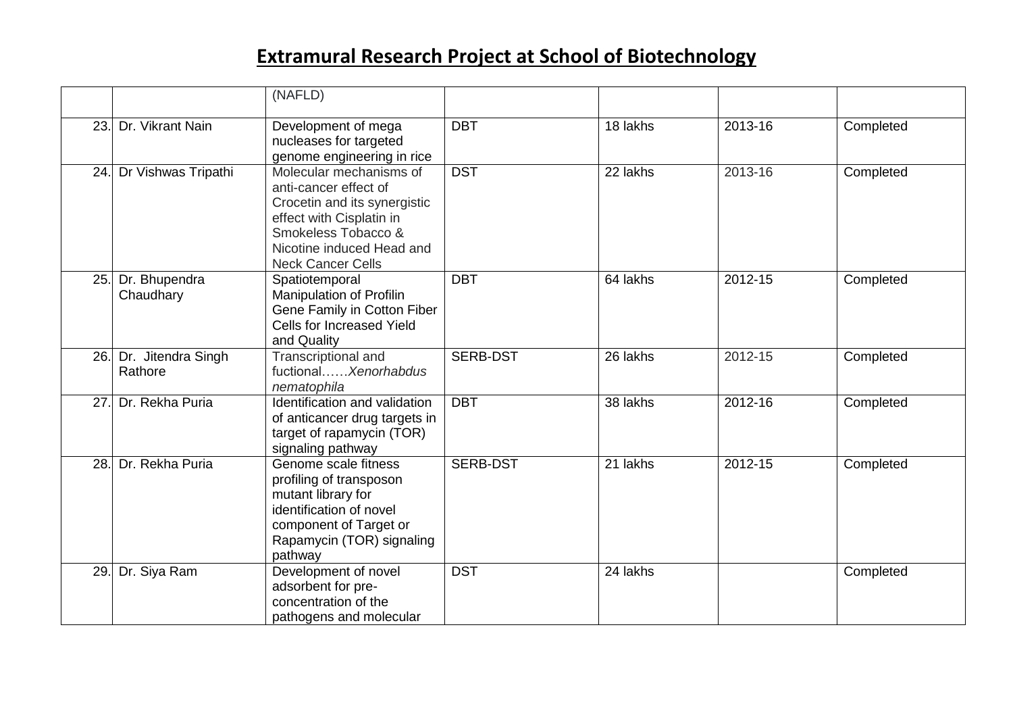|     |                               | (NAFLD)                                                                                                                                                                                      |                 |          |         |           |
|-----|-------------------------------|----------------------------------------------------------------------------------------------------------------------------------------------------------------------------------------------|-----------------|----------|---------|-----------|
| 23. | Dr. Vikrant Nain              | Development of mega<br>nucleases for targeted<br>genome engineering in rice                                                                                                                  | <b>DBT</b>      | 18 lakhs | 2013-16 | Completed |
| 24. | Dr Vishwas Tripathi           | Molecular mechanisms of<br>anti-cancer effect of<br>Crocetin and its synergistic<br>effect with Cisplatin in<br>Smokeless Tobacco &<br>Nicotine induced Head and<br><b>Neck Cancer Cells</b> | <b>DST</b>      | 22 lakhs | 2013-16 | Completed |
| 25. | Dr. Bhupendra<br>Chaudhary    | Spatiotemporal<br>Manipulation of Profilin<br>Gene Family in Cotton Fiber<br>Cells for Increased Yield<br>and Quality                                                                        | <b>DBT</b>      | 64 lakhs | 2012-15 | Completed |
| 26. | Dr. Jitendra Singh<br>Rathore | Transcriptional and<br>fuctional Xenorhabdus<br>nematophila                                                                                                                                  | <b>SERB-DST</b> | 26 lakhs | 2012-15 | Completed |
| 27. | Dr. Rekha Puria               | Identification and validation<br>of anticancer drug targets in<br>target of rapamycin (TOR)<br>signaling pathway                                                                             | <b>DBT</b>      | 38 lakhs | 2012-16 | Completed |
| 28. | Dr. Rekha Puria               | Genome scale fitness<br>profiling of transposon<br>mutant library for<br>identification of novel<br>component of Target or<br>Rapamycin (TOR) signaling<br>pathway                           | <b>SERB-DST</b> | 21 lakhs | 2012-15 | Completed |
| 29. | Dr. Siya Ram                  | Development of novel<br>adsorbent for pre-<br>concentration of the<br>pathogens and molecular                                                                                                | <b>DST</b>      | 24 lakhs |         | Completed |